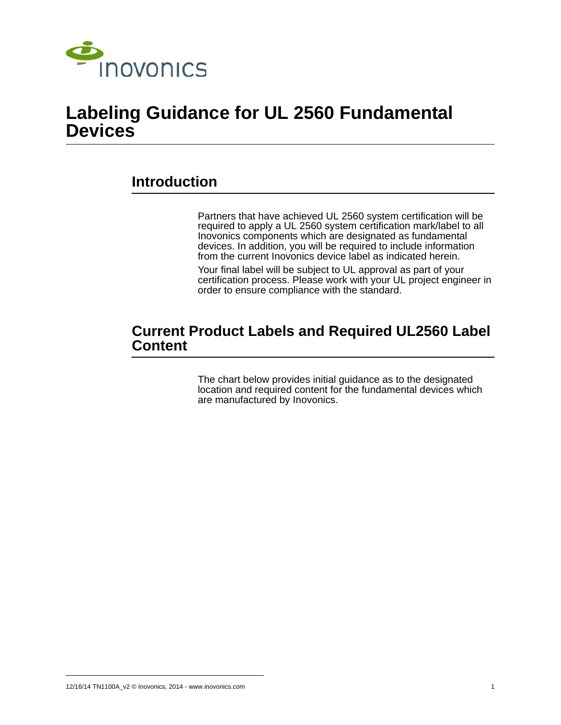

## **Labeling Guidance for UL 2560 Fundamental Devices**

## **Introduction**

Partners that have achieved UL 2560 system certification will be required to apply a UL 2560 system certification mark/label to all Inovonics components which are designated as fundamental devices. In addition, you will be required to include information from the current Inovonics device label as indicated herein.

Your final label will be subject to UL approval as part of your certification process. Please work with your UL project engineer in order to ensure compliance with the standard.

### **Current Product Labels and Required UL2560 Label Content**

The chart below provides initial guidance as to the designated location and required content for the fundamental devices which are manufactured by Inovonics.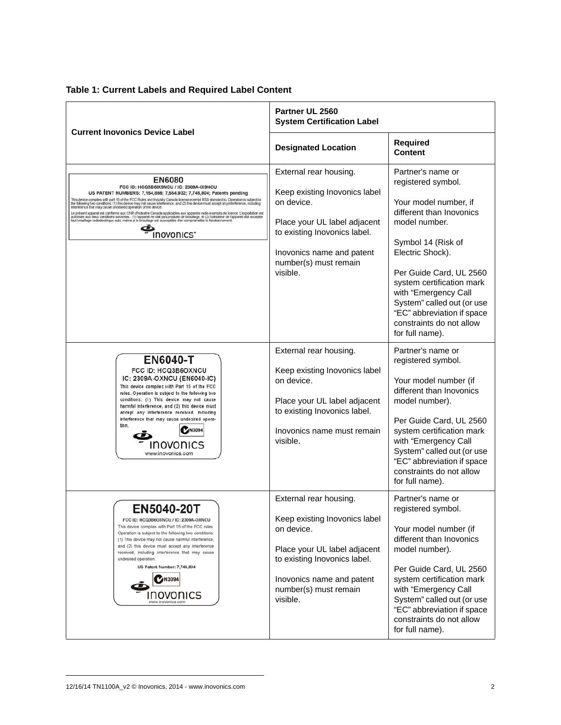| <b>Table 1: Current Labels and Required Label Content</b> |  |  |  |  |
|-----------------------------------------------------------|--|--|--|--|
|-----------------------------------------------------------|--|--|--|--|

| <b>Current Inovonics Device Label</b>                                                                                                                                                                                                                                                                                                                                                                                                                                                                                                                                                                                                                                                                                                                                                                                                                                 | Partner UL 2560<br><b>System Certification Label</b>                                                                                                                                                    |                                                                                                                                                                                                                                                                                                                                                    |  |
|-----------------------------------------------------------------------------------------------------------------------------------------------------------------------------------------------------------------------------------------------------------------------------------------------------------------------------------------------------------------------------------------------------------------------------------------------------------------------------------------------------------------------------------------------------------------------------------------------------------------------------------------------------------------------------------------------------------------------------------------------------------------------------------------------------------------------------------------------------------------------|---------------------------------------------------------------------------------------------------------------------------------------------------------------------------------------------------------|----------------------------------------------------------------------------------------------------------------------------------------------------------------------------------------------------------------------------------------------------------------------------------------------------------------------------------------------------|--|
|                                                                                                                                                                                                                                                                                                                                                                                                                                                                                                                                                                                                                                                                                                                                                                                                                                                                       | <b>Designated Location</b>                                                                                                                                                                              | <b>Required</b><br><b>Content</b>                                                                                                                                                                                                                                                                                                                  |  |
| <b>EN6080</b><br>FCC ID: HCQ3B6IX9NCU / IC: 2309A-IX9NCU<br>US PATENT NUMBERS: 7,154,866; 7,554,932; 7,746,804; Patents pending<br>This device complies with part 15 of the FCC Rules and Industry Canada license-exempt RSS standard(s). Operation is subject to<br>the following two conditions: (1) this device may not cause interference, and (2) this device must accept any interference, including<br>interference that may cause undesired operation of the device.<br>Le présent appareil est conforme aux CNR d'Industrie Canada applicables aux appareils radio exempts de licence. L'exploitation est<br>autorisée aux deux conditions suivantes : (1) l'appareil ne doit pas produire de brouillage, et (2) l'utilisateur de l'appareil doit accepter<br>tout brouillage radioèlectrique subi, même si le brouillage est susceptible d'en<br>INOVONICS' | External rear housing.<br>Keep existing Inovonics label<br>on device.<br>Place your UL label adjacent<br>to existing Inovonics label.<br>Inovonics name and patent<br>number(s) must remain<br>visible. | Partner's name or<br>registered symbol.<br>Your model number, if<br>different than Inovonics<br>model number.<br>Symbol 14 (Risk of<br>Electric Shock).<br>Per Guide Card, UL 2560<br>system certification mark<br>with "Emergency Call<br>System" called out (or use<br>"EC" abbreviation if space<br>constraints do not allow<br>for full name). |  |
| <b>EN6040-T</b><br>FCC ID: HCQ3B6OXNCU<br>IC: 2309A-OXNCU (EN6040-IC)<br>This device complies with Part 15 of the FCC<br>rules. Operation is subject to the following two<br>conditions: (1) This device may not cause<br>harmful interference, and (2) this device must<br>accept any interference received, including<br>interference that may cause undesired opera-<br>tion.<br>N309<br><b>IUVONICS</b><br>www.inovonics.com                                                                                                                                                                                                                                                                                                                                                                                                                                      | External rear housing.<br>Keep existing Inovonics label<br>on device.<br>Place your UL label adjacent<br>to existing Inovonics label.<br>Inovonics name must remain<br>visible.                         | Partner's name or<br>registered symbol.<br>Your model number (if<br>different than Inovonics<br>model number).<br>Per Guide Card, UL 2560<br>system certification mark<br>with "Emergency Call<br>System" called out (or use<br>"EC" abbreviation if space<br>constraints do not allow<br>for full name).                                          |  |
| EN5040-20T<br>FCC ID: HCQ3B6OXNCU / IC: 2309A-OXNCU<br>This device complies with Part 15 of the FCC rules.<br>Operation is subject to the following two conditions:<br>(1) This device may not cause harmful interference,<br>and (2) this device must accept any interference<br>received, including interference that may cause<br>undesired operation.<br>US Patent Number: 7,746,804<br><b>M3094</b><br>www.inovonics.com                                                                                                                                                                                                                                                                                                                                                                                                                                         | External rear housing.<br>Keep existing Inovonics label<br>on device.<br>Place your UL label adjacent<br>to existing Inovonics label.<br>Inovonics name and patent<br>number(s) must remain<br>visible. | Partner's name or<br>registered symbol.<br>Your model number (if<br>different than Inovonics<br>model number).<br>Per Guide Card, UL 2560<br>system certification mark<br>with "Emergency Call<br>System" called out (or use<br>"EC" abbreviation if space<br>constraints do not allow<br>for full name).                                          |  |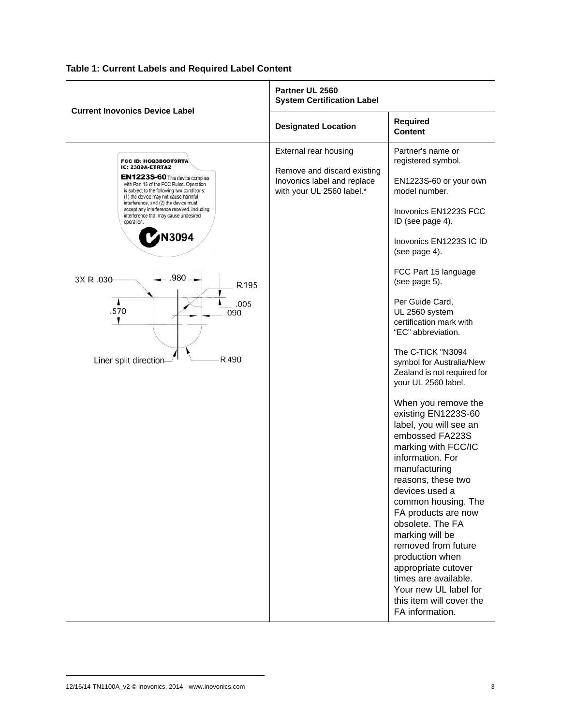

#### **Table 1: Current Labels and Required Label Content**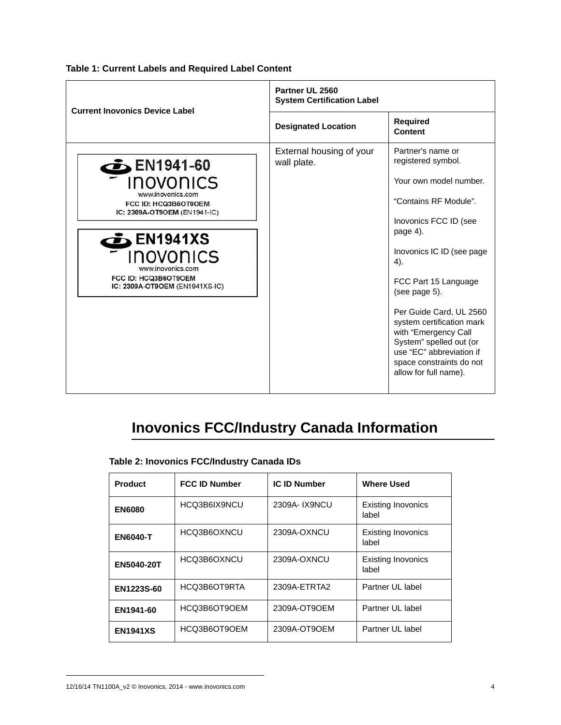| <b>Current Inovonics Device Label</b> | Partner UL 2560<br><b>System Certification Label</b> |                   |  |  |
|---------------------------------------|------------------------------------------------------|-------------------|--|--|
|                                       | <b>Designated Location</b>                           | R<br>C            |  |  |
| <b>EN1941-60</b><br><b>DOVODICC</b>   | External housing of your<br>wall plate.              | $P_i$<br>re<br>v, |  |  |

**Table 1: Current Labels and Required Label Content**

|                                                                           | <b>Designated Location</b>              | <b>Required</b><br>Content                                                                                                                                                               |
|---------------------------------------------------------------------------|-----------------------------------------|------------------------------------------------------------------------------------------------------------------------------------------------------------------------------------------|
| $5$ EN1941-60                                                             | External housing of your<br>wall plate. | Partner's name or<br>registered symbol.                                                                                                                                                  |
| <i><b>INOVONICS</b></i>                                                   |                                         | Your own model number.                                                                                                                                                                   |
| www.inovonics.com<br>FCC ID: HCQ3B6OT9OEM<br>IC: 2309A-OT9OEM (EN1941-IC) |                                         | "Contains RF Module".                                                                                                                                                                    |
| $\sum$ EN1941XS                                                           |                                         | Inovonics FCC ID (see<br>page 4).                                                                                                                                                        |
| INOVONICS<br>www.inovonics.com                                            |                                         | Inovonics IC ID (see page)<br>4).                                                                                                                                                        |
| FCC ID: HCQ3B6OT9OEM<br>IC: 2309A-OT9OEM (EN1941XS-IC)                    |                                         | FCC Part 15 Language<br>(see page 5).                                                                                                                                                    |
|                                                                           |                                         | Per Guide Card, UL 2560<br>system certification mark<br>with "Emergency Call<br>System" spelled out (or<br>use "EC" abbreviation if<br>space constraints do not<br>allow for full name). |

# **Inovonics FCC/Industry Canada Information**

| Table 2: Inovonics FCC/Industry Canada IDs |  |  |
|--------------------------------------------|--|--|
|--------------------------------------------|--|--|

| <b>Product</b>    | <b>FCC ID Number</b> | <b>IC ID Number</b> | <b>Where Used</b>                  |
|-------------------|----------------------|---------------------|------------------------------------|
| <b>EN6080</b>     | HCQ3B6IX9NCU         | 2309A- IX9NCU       | <b>Existing Inovonics</b><br>label |
| <b>EN6040-T</b>   | HCQ3B6OXNCU          | 2309A-OXNCU         | <b>Existing Inovonics</b><br>label |
| <b>EN5040-20T</b> | HCQ3B6OXNCU          | 2309A-OXNCU         | <b>Existing Inovonics</b><br>label |
| EN1223S-60        | HCQ3B6OT9RTA         | 2309A-ETRTA2        | Partner UL label                   |
| EN1941-60         | HCQ3B6OT9OEM         | 2309A-OT9OEM        | Partner UL label                   |
| <b>EN1941XS</b>   | HCQ3B6OT9OEM         | 2309A-OT9OEM        | Partner UL label                   |